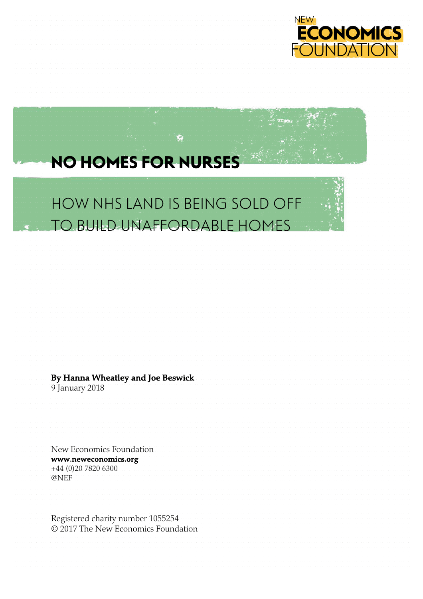

#### NO HOMES FOR NURSES

#### HOW NHS LAND IS BEING SOLD OFF TO BUILD UNAFFORDABLE HOMES

Ŷ.

By Hanna Wheatley and Joe Beswick

9 January 2018

New Economics Foundation www.neweconomics.org +44 (0)20 7820 6300 @NEF

Registered charity number 1055254 © 2017 The New Economics Foundation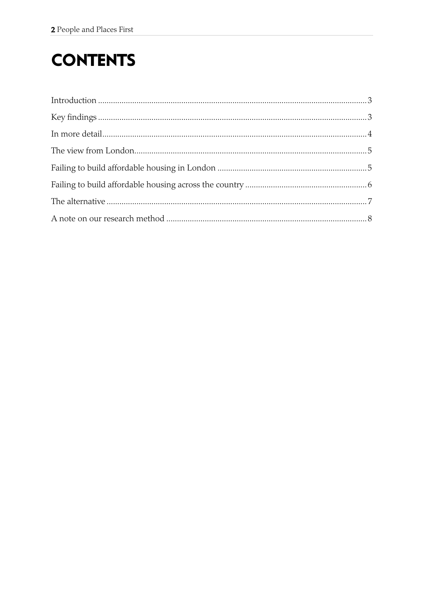# **CONTENTS**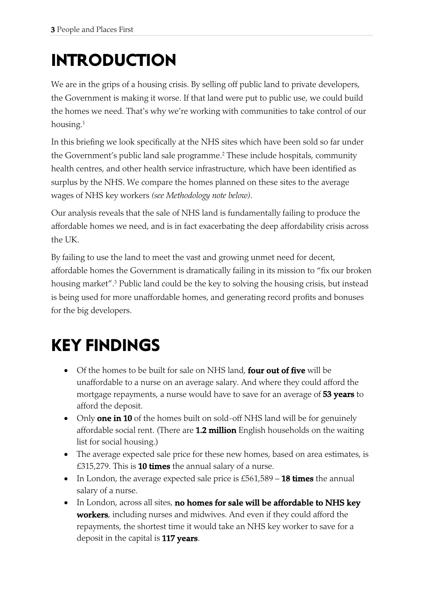## INTRODUCTION

We are in the grips of a housing crisis. By selling off public land to private developers, the Government is making it worse. If that land were put to public use, we could build the homes we need. That's why we're working with communities to take control of our housing.<sup>1</sup>

In this briefing we look specifically at the NHS sites which have been sold so far under the Government's public land sale programme.<sup>2</sup> These include hospitals, community health centres, and other health service infrastructure, which have been identified as surplus by the NHS. We compare the homes planned on these sites to the average wages of NHS key workers *(see Methodology note below)*.

Our analysis reveals that the sale of NHS land is fundamentally failing to produce the affordable homes we need, and is in fact exacerbating the deep affordability crisis across the UK.

By failing to use the land to meet the vast and growing unmet need for decent, affordable homes the Government is dramatically failing in its mission to "fix our broken housing market".<sup>3</sup> Public land could be the key to solving the housing crisis, but instead is being used for more unaffordable homes, and generating record profits and bonuses for the big developers.

## KEY FINDINGS

- Of the homes to be built for sale on NHS land, **four out of five** will be unaffordable to a nurse on an average salary. And where they could afford the mortgage repayments, a nurse would have to save for an average of 53 years to afford the deposit.
- Only **one in 10** of the homes built on sold-off NHS land will be for genuinely affordable social rent. (There are 1.2 million English households on the waiting list for social housing.)
- The average expected sale price for these new homes, based on area estimates, is £315,279. This is 10 times the annual salary of a nurse.
- In London, the average expected sale price is  $£561,589 18$  times the annual salary of a nurse.
- In London, across all sites, no homes for sale will be affordable to NHS key workers, including nurses and midwives. And even if they could afford the repayments, the shortest time it would take an NHS key worker to save for a deposit in the capital is 117 years.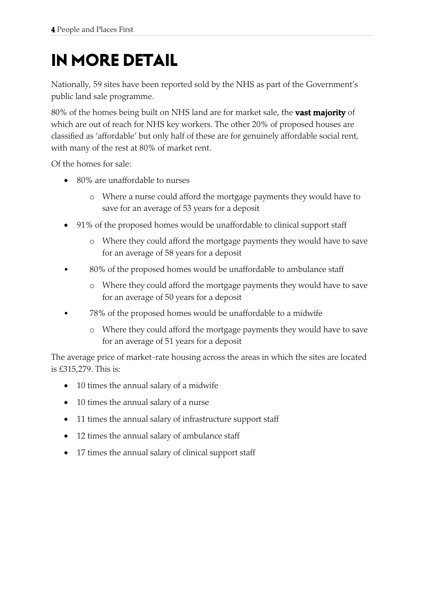#### IN MORE DETAIL

Nationally, 59 sites have been reported sold by the NHS as part of the Government's public land sale programme.

80% of the homes being built on NHS land are for market sale, the **vast majority** of which are out of reach for NHS key workers. The other 20% of proposed houses are classified as 'affordable' but only half of these are for genuinely affordable social rent, with many of the rest at 80% of market rent.

Of the homes for sale:

- 80% are unaffordable to nurses
	- o Where a nurse could afford the mortgage payments they would have to save for an average of 53 years for a deposit
- 91% of the proposed homes would be unaffordable to clinical support staff
	- o Where they could afford the mortgage payments they would have to save for an average of 58 years for a deposit
- 80% of the proposed homes would be unaffordable to ambulance staff
	- o Where they could afford the mortgage payments they would have to save for an average of 50 years for a deposit
- 78% of the proposed homes would be unaffordable to a midwife
	- o Where they could afford the mortgage payments they would have to save for an average of 51 years for a deposit

The average price of market-rate housing across the areas in which the sites are located is £315,279. This is:

- 10 times the annual salary of a midwife
- 10 times the annual salary of a nurse
- 11 times the annual salary of infrastructure support staff
- 12 times the annual salary of ambulance staff
- 17 times the annual salary of clinical support staff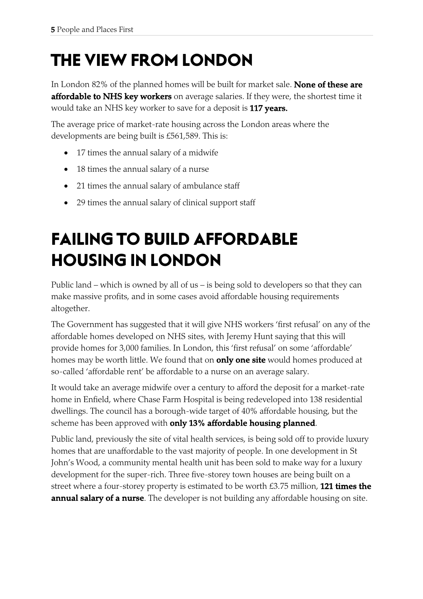#### THE VIEW FROM LONDON

In London 82% of the planned homes will be built for market sale. None of these are affordable to NHS key workers on average salaries. If they were, the shortest time it would take an NHS key worker to save for a deposit is **117 years.** 

The average price of market-rate housing across the London areas where the developments are being built is £561,589. This is:

- 17 times the annual salary of a midwife
- 18 times the annual salary of a nurse
- 21 times the annual salary of ambulance staff
- 29 times the annual salary of clinical support staff

## FAILING TO BUILD AFFORDABLE HOUSING IN LONDON

Public land – which is owned by all of us – is being sold to developers so that they can make massive profits, and in some cases avoid affordable housing requirements altogether.

The Government has suggested that it will give NHS workers 'first refusal' on any of the affordable homes developed on NHS sites, with Jeremy Hunt saying that this will provide homes for 3,000 families. In London, this 'first refusal' on some 'affordable' homes may be worth little. We found that on **only one site** would homes produced at so-called 'affordable rent' be affordable to a nurse on an average salary.

It would take an average midwife over a century to afford the deposit for a market-rate home in Enfield, where Chase Farm Hospital is being redeveloped into 138 residential dwellings. The council has a borough-wide target of 40% affordable housing, but the scheme has been approved with only 13% affordable housing planned.

Public land, previously the site of vital health services, is being sold off to provide luxury homes that are unaffordable to the vast majority of people. In one development in St John's Wood, a community mental health unit has been sold to make way for a luxury development for the super-rich. Three five-storey town houses are being built on a street where a four-storey property is estimated to be worth £3.75 million, 121 times the annual salary of a nurse. The developer is not building any affordable housing on site.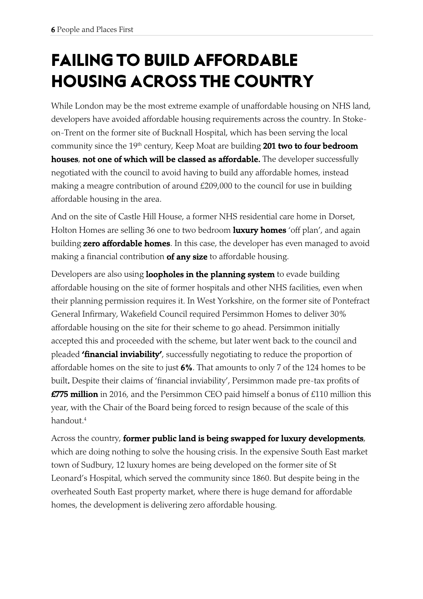#### FAILING TO BUILD AFFORDABLE HOUSING ACROSS THE COUNTRY

While London may be the most extreme example of unaffordable housing on NHS land, developers have avoided affordable housing requirements across the country. In Stokeon-Trent on the former site of Bucknall Hospital, which has been serving the local community since the  $19<sup>th</sup>$  century, Keep Moat are building 201 two to four bedroom houses, not one of which will be classed as affordable. The developer successfully negotiated with the council to avoid having to build any affordable homes, instead making a meagre contribution of around £209,000 to the council for use in building affordable housing in the area.

And on the site of Castle Hill House, a former NHS residential care home in Dorset, Holton Homes are selling 36 one to two bedroom **luxury homes** 'off plan', and again building **zero affordable homes**. In this case, the developer has even managed to avoid making a financial contribution of any size to affordable housing.

Developers are also using **loopholes in the planning system** to evade building affordable housing on the site of former hospitals and other NHS facilities, even when their planning permission requires it. In West Yorkshire, on the former site of Pontefract General Infirmary, Wakefield Council required Persimmon Homes to deliver 30% affordable housing on the site for their scheme to go ahead. Persimmon initially accepted this and proceeded with the scheme, but later went back to the council and pleaded **'financial inviability'**, successfully negotiating to reduce the proportion of affordable homes on the site to just  $6\%$ . That amounts to only 7 of the 124 homes to be built. Despite their claims of 'financial inviability', Persimmon made pre-tax profits of **£775 million** in 2016, and the Persimmon CEO paid himself a bonus of £110 million this year, with the Chair of the Board being forced to resign because of the scale of this handout.<sup>4</sup>

Across the country, former public land is being swapped for luxury developments, which are doing nothing to solve the housing crisis. In the expensive South East market town of Sudbury, 12 luxury homes are being developed on the former site of St Leonard's Hospital, which served the community since 1860. But despite being in the overheated South East property market, where there is huge demand for affordable homes, the development is delivering zero affordable housing.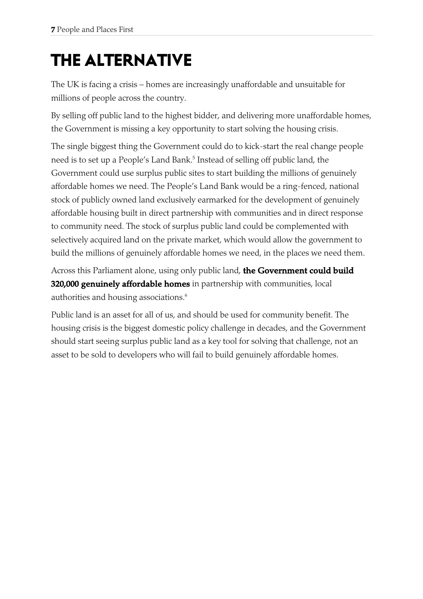## THE ALTERNATIVE

The UK is facing a crisis – homes are increasingly unaffordable and unsuitable for millions of people across the country.

By selling off public land to the highest bidder, and delivering more unaffordable homes, the Government is missing a key opportunity to start solving the housing crisis.

The single biggest thing the Government could do to kick-start the real change people need is to set up a People's Land Bank.<sup>5</sup> Instead of selling off public land, the Government could use surplus public sites to start building the millions of genuinely affordable homes we need. The People's Land Bank would be a ring-fenced, national stock of publicly owned land exclusively earmarked for the development of genuinely affordable housing built in direct partnership with communities and in direct response to community need. The stock of surplus public land could be complemented with selectively acquired land on the private market, which would allow the government to build the millions of genuinely affordable homes we need, in the places we need them.

Across this Parliament alone, using only public land, the Government could build 320,000 genuinely affordable homes in partnership with communities, local authorities and housing associations. $6$ 

Public land is an asset for all of us, and should be used for community benefit. The housing crisis is the biggest domestic policy challenge in decades, and the Government should start seeing surplus public land as a key tool for solving that challenge, not an asset to be sold to developers who will fail to build genuinely affordable homes.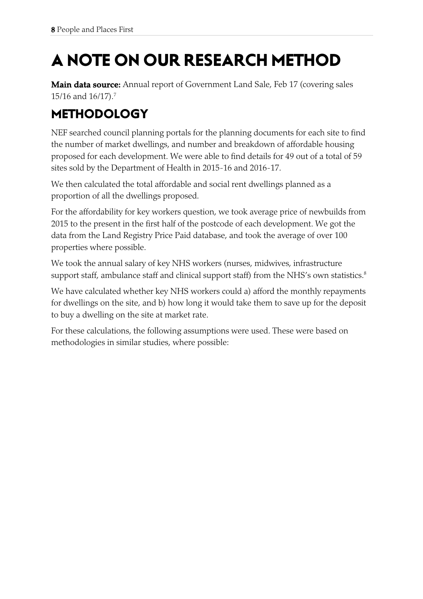# A NOTE ON OUR RESEARCH METHOD

Main data source: Annual report of Government Land Sale, Feb 17 (covering sales 15/16 and 16/17).<sup>7</sup>

#### METHODOLOGY

NEF searched council planning portals for the planning documents for each site to find the number of market dwellings, and number and breakdown of affordable housing proposed for each development. We were able to find details for 49 out of a total of 59 sites sold by the Department of Health in 2015-16 and 2016-17.

We then calculated the total affordable and social rent dwellings planned as a proportion of all the dwellings proposed.

For the affordability for key workers question, we took average price of newbuilds from 2015 to the present in the first half of the postcode of each development. We got the data from the Land Registry Price Paid database, and took the average of over 100 properties where possible.

We took the annual salary of key NHS workers (nurses, midwives, infrastructure support staff, ambulance staff and clinical support staff) from the NHS's own statistics. $^8$ 

We have calculated whether key NHS workers could a) afford the monthly repayments for dwellings on the site, and b) how long it would take them to save up for the deposit to buy a dwelling on the site at market rate.

For these calculations, the following assumptions were used. These were based on methodologies in similar studies, where possible: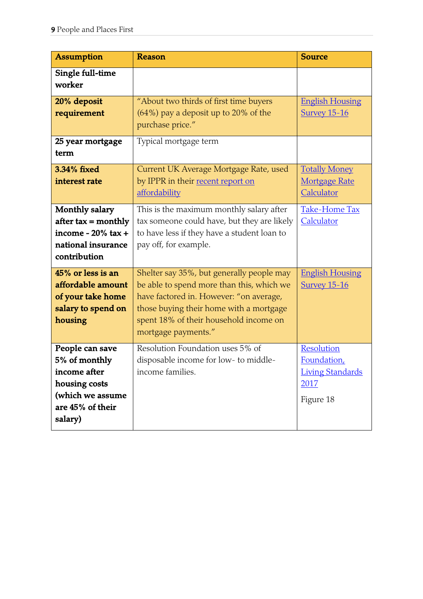| <b>Assumption</b>                           | <b>Reason</b>                                                                     | <b>Source</b>                                 |
|---------------------------------------------|-----------------------------------------------------------------------------------|-----------------------------------------------|
| Single full-time<br>worker                  |                                                                                   |                                               |
| 20% deposit<br>requirement                  | "About two thirds of first time buyers<br>$(64%)$ pay a deposit up to 20% of the  | <b>English Housing</b><br><b>Survey 15-16</b> |
|                                             | purchase price."                                                                  |                                               |
| 25 year mortgage<br>term                    | Typical mortgage term                                                             |                                               |
| 3.34% fixed                                 | Current UK Average Mortgage Rate, used                                            | <b>Totally Money</b>                          |
| interest rate                               | by IPPR in their recent report on<br>affordability                                | <b>Mortgage Rate</b><br>Calculator            |
| Monthly salary                              | This is the maximum monthly salary after                                          | <b>Take-Home Tax</b>                          |
| after $tax = monthly$                       | tax someone could have, but they are likely                                       | Calculator                                    |
| income - $20\%$ tax +<br>national insurance | to have less if they have a student loan to                                       |                                               |
| contribution                                | pay off, for example.                                                             |                                               |
| 45% or less is an                           | Shelter say 35%, but generally people may                                         | <b>English Housing</b>                        |
| affordable amount                           | be able to spend more than this, which we                                         | <b>Survey 15-16</b>                           |
| of your take home                           | have factored in. However: "on average,                                           |                                               |
| salary to spend on<br>housing               | those buying their home with a mortgage<br>spent 18% of their household income on |                                               |
|                                             | mortgage payments."                                                               |                                               |
| People can save                             | Resolution Foundation uses 5% of                                                  | Resolution                                    |
| 5% of monthly                               | disposable income for low- to middle-                                             | Foundation,                                   |
| income after                                | income families.                                                                  | <b>Living Standards</b>                       |
| housing costs                               |                                                                                   | 2017                                          |
| (which we assume<br>are 45% of their        |                                                                                   | Figure 18                                     |
| salary)                                     |                                                                                   |                                               |
|                                             |                                                                                   |                                               |